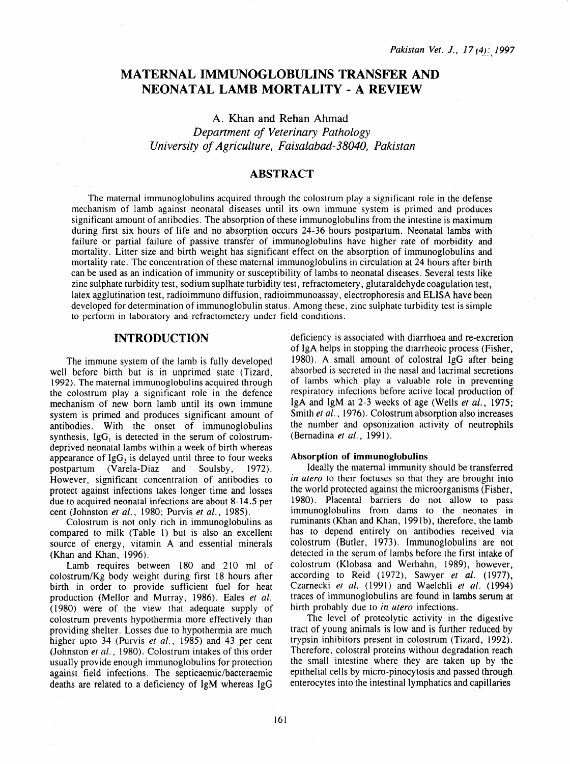# MATERNAL IMMUNOGLOBULINS TRANSFER AND NEONATAL LAMB MORTALITY- A REVIEW

A. Khan and Rehan Ahmad *Department of Veterinary Pathology University of Agriculture, Faisalabad-38040, Pakistan* 

# ABSTRACT

The maternal immunoglobulins acquired through the colostrum play a significant role in the defense mechanism of lamb against neonatal diseases until its own immune system is primed and produces significant amount of antibodies. The absorption of these immunoglobulins from the intestine is maximum during first six hours of life and no absorption occurs 24-36 hours postpartum. Neonatal lambs with failure or partial failure of passive transfer of immunoglobulins have higher rate of morbidity and mortality. Litter size and birth weight has significant effect on the absorption of immunoglobulins and mortality rate. The concentration of these maternal immunoglobulins in circulation at 24 hours after birth can be used as an indication of immunity or susceptibility of lambs to neonatal diseases. Several tests like zinc sulphate turbidity test, sodium suplhate turbidity test, refractometery, glutaraldehyde coagulation test, latex agglutination test, radioimmuno diffusion, radioimmunoassay, electrophoresis and ELISA have been developed for determination of immunoglobulin status. Among these, zinc sulphate turbidity test is simple to perform in laboratory and refractometery under field conditions.

## INTRODUCTION

The immune system of the lamb is fully developed well before birth but is in unprimed state (Tizard, 1992). The maternal immunoglobulins acquired through the colostrum play a significant role in the defence mechanism of new born lamb until its own immune system is primed and produces significant amount of antibodies. With the onset of immunoglobulins synthesis,  $I \nsubseteq G_1$  is detected in the serum of colostrumdeprived neonatal lambs within a week of birth whereas appearance of  $\text{IgG}_2$  is delayed until three to four weeks postpartum (Varela-Diaz and Soulsby, 1972). postpartum (Varela-Diaz and However, significant concentration of antibodies to protect against infections takes longer time and losses due to acquired neonatal infections are about 8-14.5 per cent (Johnston *et* al., 1980; Purvis *et* al., 1985).

Colostrum is not only rich in immunoglobulins as compared to milk (Table 1) but is also an excellent source of energy, vitamin A and essential minerals (Khan and Khan, 1996).

Lamb requires between 180 and 210 ml of colostrum/Kg body weight during first 18 hours after birth in order to provide sufficient fuel for heat production (Mellor and Murray, 1986). Eales *et al.*  (1980) were of the view that adequate supply of colostrum prevents hypothermia more effectively than providing shelter. Losses due to hypothermia are much higher upto 34 (Purvis et al., 1985) and 43 per cent (Johnston *et al.,* 1980). Colostrum intakes of this order usually provide enough immunoglobulins for protection against field infections. The septicaemic/bacteraemic deaths are related to a deficiency of IgM whereas IgG

deficiency is associated with diarrhoea and re-excretion of IgA helps in stopping the diarrheoic process (Fisher, 1980). A small amount of colostral lgG after being absorbed is secreted in the nasal and lacrimal secretions of lambs which play a valuable role in preventing respiratory infections before active local production of IgA and lgM at 2-3 weeks of age (Wells *et al.,* 1975; Smith *et al.,* 1976). Colostrum absorption also increases the number and opsonization activity of neutrophils (Bernadina *et al.,* 1991).

#### Absorption of immunoglobulins

Ideally the maternal immunity should be transferred *in utero* to their foetuses so that they are brought into the world protected against the microorganisms (Fisher, 1980). Placental barriers do not allow to pass immunoglobulins from dams to the neonates in ruminants (Khan and Khan, l99lb), therefore, the lamb has to depend entirely on antibodies received via colostrum (Butler, 1973). Immunoglobulins are not detected in the serum of lambs before the first intake of colostrum (Klobasa and Werhahn, 1989), however, according to Reid (1972), Sawyer et al. (1977), Czarnecki *er al.* (1991) and Waelchli *et al.* (1994) traces of immunoglobulins are found in lambs serum at birth probably due to *in utero* infections.

The level of proteolytic activity in the digestive tract of young animals is low and is further reduced by trypsin inhibitors present in colostrum (Tizard, 1992). Therefore, colostral proteins without degradation reach the small intestine where they are taken up by the epithelial cells by micro-pinocytosis and passed through enterocytes into the intestinal lymphatics and capillaries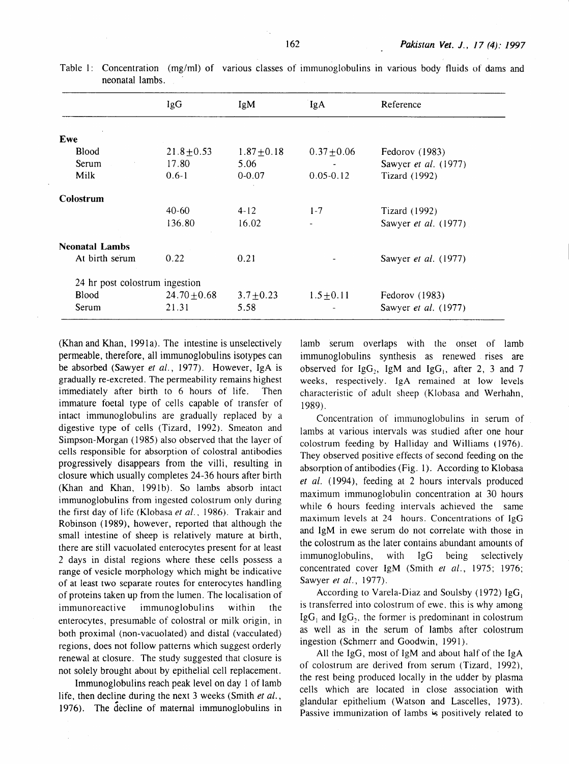|                                | lgG              | IgM             | <b>IgA</b>      | Reference                   |
|--------------------------------|------------------|-----------------|-----------------|-----------------------------|
|                                |                  |                 |                 |                             |
| Ewe                            |                  |                 |                 |                             |
| <b>Blood</b>                   | $21.8 \pm 0.53$  | $1.87 \pm 0.18$ | $0.37 \pm 0.06$ | Fedorov (1983)              |
| Serum                          | 17.80            | 5.06            |                 | Sawyer et al. (1977)        |
| Milk                           | $0.6 - 1$        | $0 - 0.07$      | $0.05 - 0.12$   | Tizard (1992)               |
| Colostrum                      |                  |                 |                 |                             |
|                                | $40-60$          | $4 - 12$        | $1 - 7$         | <b>Tizard</b> (1992)        |
|                                | 136.80           | 16.02           |                 | Sawyer <i>et al.</i> (1977) |
| <b>Neonatal Lambs</b>          |                  |                 |                 |                             |
| At birth serum                 | 0.22             | 0.21            |                 | Sawyer et al. (1977)        |
| 24 hr post colostrum ingestion |                  |                 |                 |                             |
| Blood                          | $24.70 \pm 0.68$ | $3.7 \pm 0.23$  | $1.5 \pm 0.11$  | Fedorov (1983)              |
| Serum                          | 21.31            | 5.58            |                 | Sawyer et al. (1977)        |

Table 1: Concentration (mg/ml) of various classes of immunoglobulins in various body fluids of dams and neonatal lambs.

(Khan and Khan, 1991a). The intestine is unselectively permeable, therefore, all immunoglobulins isotypes can be absorbed (Sawyer *et al.,* 1977). However, IgA is gradually re-excreted. The permeability remains highest immediately after birth to 6 hours of life. Then immature foetal type of cells capable of transfer of intact immunoglobulins are gradually replaced by a digestive type of cells (Tizard, 1992). Smeaton and Simpson-Morgan ( 1985) also observed that the layer of cells responsible for absorption of colostral antibodies progressively disappears from the villi, resulting in closure which usually completes 24-36 hours after birth (Khan and Khan, 1991b). So lambs absorb intact immunoglobulins from ingested colostrum only during the first day of life (Klobasa *et al.,* 1986). Trakair and Robinson (1989), however, reported that although the small intestine of sheep is relatively mature at birth, there are still vacuolated enterocytes present for at least 2 days in distal regions where these cells possess a range of vesicle morphology which might be indicative of at least two separate routes for enterocytes handling of proteins taken up from the lumen. The localisation of immunoreactive immunoglobulins within the enterocytes, presumable of colostral or milk origin, in both proximal (non-vacuolated) and distal (vacculated) regions, does not follow patterns which suggest orderly renewal at closure. The study suggested that closure is not solely brought about by epithelial cell replacement.

Immunoglobulins reach peak level on day l of lamb life, then decline during the next 3 weeks (Smith *et al.,*  1976). The decline of maternal immunoglobulins in lamb serum overlaps with the onset of lamb immunoglobulins synthesis as renewed rises are observed for  $IgG_2$ , IgM and  $IgG_1$ , after 2, 3 and 7 weeks, respectively. IgA remained at low levels characteristic of adult sheep (Klobasa and Werhahn, 1989).

Concentration of immunoglobulins in serum of lambs at various intervals was studied after one hour colostrum feeding by Halliday and Williams ( 1976). They observed positive effects of second feeding on the absorption of antibodies (Fig. 1). According to Klobasa *et al.* (1994), feeding at 2 hours intervals produced maximum immunoglobulin concentration at 30 hours while 6 hours feeding intervals achieved the same maximum levels at 24 hours. Concentrations of IgG and IgM in ewe serum do not correlate with those in the colostrum as the later contains abundant amounts of immunoglobulins, with IgG being selectively concentrated cover IgM (Smith el *al.,* 1975; 1976; Sawyer et al., 1977).

According to Varela-Diaz and Soulsby (1972)  $IgG<sub>i</sub>$ is transferred into colostrum of ewe. this is why among  $IgG_1$  and  $IgG_2$ , the former is predominant in colostrum as well as in the serum of lambs after colostrum ingestion ( Schmerr and Goodwin, 1991).

All the IgG, most of IgM and about half of the IgA of colostrum are derived from serum (Tizard, 1992), the rest being produced locally in the udder by plasma cells which are located in close association with glandular epithelium (Watson and Lascelles, 1973). Passive immunization of lambs is positively related to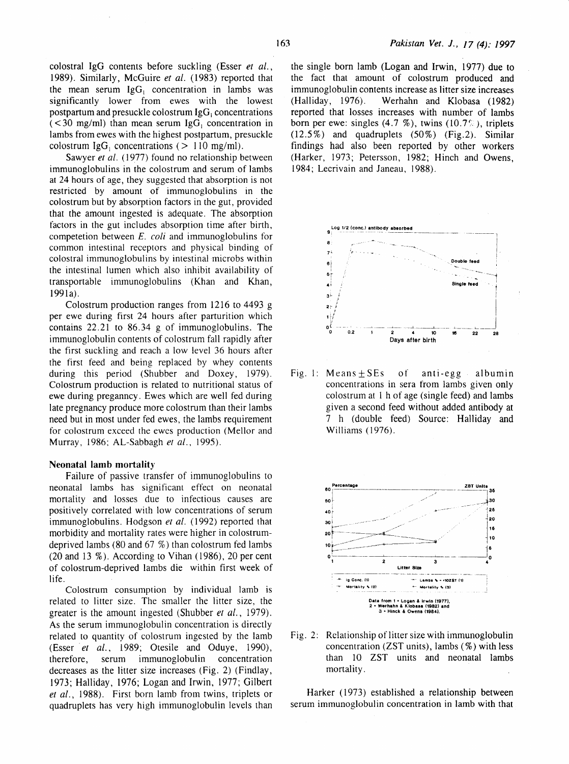colostral IgG contents before suckling (Esser *et al.,*  1989). Similarly, McGuire *et al.* (1983) reported that the mean serum  $I \nsubseteq G_1$  concentration in lambs was significantly lower from ewes with the lowest postpartum and presuckle colostrum  $\lg G_1$  concentrations  $($  < 30 mg/ml) than mean serum IgG<sub>1</sub> concentration in lambs from ewes with the highest postpartum, presuckle colostrum IgG<sub>1</sub> concentrations ( $> 110$  mg/ml).

Sawyer *et al.* (1977) found no relationship between immunoglobulins in the colostrum and serum of lambs at 24 hours of age, they suggested that absorption is not restricted by amount of immunoglobulins in the colostrum but by absorption factors in the gut, provided that the amount ingested is adequate. The absorption factors in the gut includes absorption time after birth, competetion between E. *coli* and immunoglobulins for common intestinal receptors and physical binding of colostral immunoglobulins by intestinal microbs within the intestinal lumen which also inhibit availability of transportable immunoglobulins (Khan and Khan, 1991a).

Colostrum production ranges from 1216 to 4493 g per ewe during first 24 hours after parturition which contains 22.21 to 86.34 g of immunoglobulins. The immunoglobulin contents of colostrum fall rapidly after the first suckling and reach a low level 36 hours after the first feed and being replaced by whey contents during this period (Shubber and Doxey, 1979). Colostrum production is related to nutritional status of ewe during preganncy. Ewes which are well fed during late pregnancy produce more colostrum than their lambs need but in most under fed ewes, the lambs requirement for colostrum exceed the ewes production (Mellor and Murray, 1986; AL-Sabbagh *et al.,* 1995).

#### Neonatal lamb mortality

Failure of passive transfer of immunoglobulins to neonatal lambs has significant effect on neonatal mortality and losses due to infectious causes are positively correlated with low concentrations of serum immunoglobulins. Hodgson *et al.* (1992) reported that morbidity and mortality rates were higher in colostrumdeprived lambs (80 and 67 %) than colostrum fed lambs (20 and 13 %). According to Vihan (1986), 20 per cent of colostrum-deprived lambs die within first week of life.

Colostrum consumption by individual lamb is related to litter size. The smaller the litter size, the greater is the amount ingested (Shubber *et al.,* 1979). As the serum immunoglobulin concentration is directly related to quantity of colostrum ingested by the lamb (Esser *et al.*, 1989; Otesile and Oduye, 1990), therefore, serum immunoglobulin concentration decreases as the litter size increases (Fig. 2) (Findlay, 1973; Halliday, 1976; Logan and Irwin, 1977; Gilbert *et al.,* 1988). First born lamb from twins, triplets or quadruplets has very high immunoglobulin levels than

the single born lamb (Logan and Irwin, 1977) due to the fact that amount of colostrum produced and immunoglobulin contents increase as litter size increases<br>(Halliday, 1976). Werhahn and Klobasa (1982) Werhahn and Klobasa (1982). reported that losses increases with number of lambs born per ewe: singles  $(4.7 \%)$ , twins  $(10.7\%)$ , triplets (12.5%) and quadruplets (50%) (Fig.2). Similar findings had also been reported by other workers (Harker, 1973; Petersson, 1982; Hinch and Owens, 1984; Lecrivain and Janeau, 1988).



Fig. 1: Means $\pm$  SEs of anti-egg albumin concentrations in sera from lambs given only colostrum at 1 h of age (single feed) and lambs given a second feed without added antibody at 7 h (double feed) Source: Halliday and Williams (1976).



Fig. 2: Relationship of litter size with immunoglobulin concentration (ZST units), lambs  $(\% )$  with less than 10 ZST units and neonatal lambs mortality.

Harker (1973) established a relationship between serum immunoglobulin concentration in lamb with that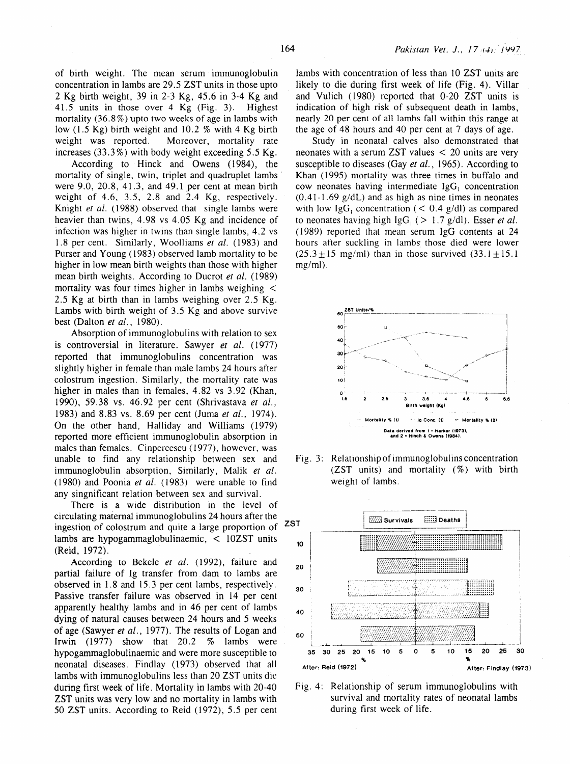of birth weight. The mean serum immunoglobulin concentration in lambs are 29.5 ZST units in those upto 2 Kg birth weight, 39 in 2-3 Kg, 45.6 in 3-4 Kg and 41.5 units in those over 4 Kg (Fig. 3). Highest mortality  $(36.8\%)$  upto two weeks of age in lambs with low (1.5 Kg) birth weight and 10.2 % with 4 Kg birth weight was reported. Moreover, mortality rate increases  $(33.3\%)$  with body weight exceeding 5.5 Kg.

According to Hinck and Owens (1984), the mortality of single, twin, triplet and quadruplet lambs were 9.0, 20.8, 41.3, and 49.1 per cent at mean birth weight of 4.6, 3.5, 2.8 and 2.4 Kg, respectively. Knight *et al.* (1988) observed that single lambs were heavier than twins, 4.98 vs 4.05 Kg and incidence of infection was higher in twins than single lambs, 4.2 vs 1.8 per cent. Similarly, Woolliams *et al.* (1983) and Purser and Young (1983) observed lamb mortality to be higher in low mean birth weights than those with higher mean birth weights. According to Ducrot *et al.* (1989) mortality was four times higher in lambs weighing < 2.5 Kg at birth than in lambs weighing over 2.5 Kg. Lambs with birth weight of 3.5 Kg and above survive best (Dalton *et al.,* 1980).

Absorption of immunoglobulins with relation to sex is controversial in literature. Sawyer *et al.* (1977) reported that immunoglobulins concentration was slightly higher in female than male lambs 24 hours after colostrum ingestion. Similarly, the mortality rate was higher in males than in females, 4.82 vs 3.92 (Khan, 1990), 59.38 vs. 46.92 per cent (Shrivastava *et al.,*  1983) and 8.83 vs. 8.69 per cent (Juma *et al.,* 1974). On the other hand, Halliday and Williams (1979) reported more efficient immunoglobulin absorption in males than females. Cinpercescu (1977), however, was unable to find any relationship between sex and immunoglobulin absorption, Similarly, Malik *et al.*  (1980) and Poonia et al. (1983) were unable to find any singnificant relation between sex and survival.

There is a wide distribution in the level of circulating maternal immunoglobulins 24 hours after the ingestion of colostrum and quite a large proportion of ZST lambs are hypogammaglobulinaemic, < 10ZST units (Reid, 1972).

According to Bekele *et al.* (1992), failure and partial failure of Ig transfer from dam to lambs are observed in 1.8 and 15.3 per cent lambs, respectively. Passive transfer failure was observed in 14 per cent apparently healthy lambs and in 46 per cent of lambs dying of natural causes between 24 hours and 5 weeks of age (Sawyer *et al.,* 1977). The results of Logan and Irwin (1977) show that 20.2 % lambs were hypogammaglobulinaemic and were more susceptible to neonatal diseases. Findlay (1973) observed that all lambs with immunoglobulins less than 20 ZST units die during first week of life. Mortality in lambs with 20-40 ZST units was very low and no mortality in lambs with 50 ZST units. According to Reid (1972), 5.5 per cent

lambs with concentration of less than 10 ZST units are likely to die during first week of life (Fig. 4). Villar and Vulich (1980) reported that 0-20 ZST units is indication of high risk of subsequent death in lambs, nearly 20 per cent of all lambs fall within this range at the age of 48 hours and 40 per cent at 7 days of age.

Study in neonatal calves also demonstrated that neonates with a serum ZST values < 20 units are very susceptible to diseases (Gay *et al.,* 1965). According to Khan (1995) mortality was three times in buffalo and cow neonates having intermediate  $IgG_1$  concentration  $(0.41-1.69 \text{ g/dL})$  and as high as nine times in neonates with low IgG<sub>1</sub> concentration ( $< 0.4$  g/dl) as compared to neonates having high  $\lg G_1$  ( $> 1.7$  g/dl). Esser *et al.* ( 1989) reported that mean serum lgG contents at 24 hours after suckling in lambs those died were lower  $(25.3 \pm 15 \text{ mg/ml})$  than in those survived  $(33.1 \pm 15.1 \text{ m})$ mg/ml).



Fig. 3: Relationship of immunoglobulins concentration (ZST units) and mortality (%) with birth weight of lambs.



Fig. 4: Relationship of serum immunoglobulins with survival and mortality rates of neonatal lambs during first week of life.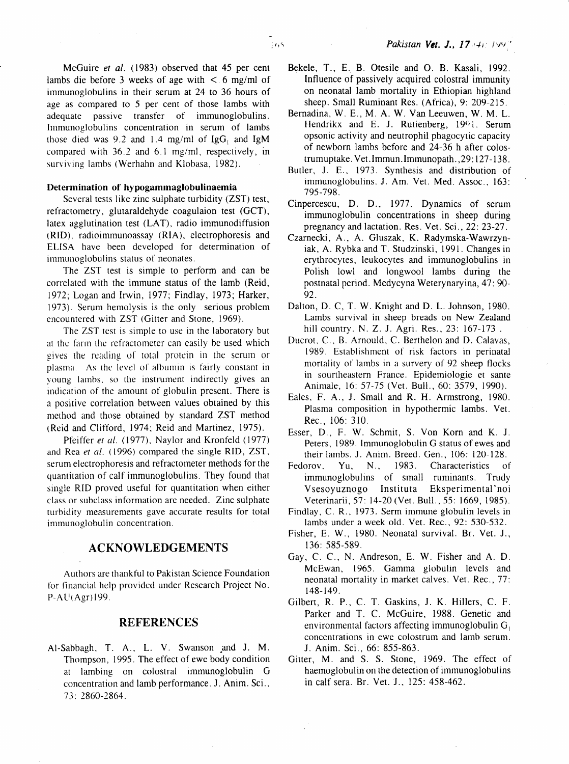McGuire el *a/.* (1983) observed that 45 per cent lambs die before 3 weeks of age with  $\lt$  6 mg/ml of immunoglobulins in their serum at 24 to 36 hours of age as compared to 5 per cent of those lambs with adequate passive transfer of immunoglobulins. Immunoglobulins concentration in serum of lambs those died was 9.2 and 1.4 mg/ml of  $\lg G_1$  and  $\lg M$ compared with 36.2 and 6.1 mg/ml, respectively, in surviving lambs (Werhahn and Klobasa, 1982).

## Determination of hypogammaglobulinaemia

Several tests like zinc sulphate turbidity (ZST) test, refractometry, glutaraldehyde coagulaion test (GCT), latex agglutination test (LAT), radio immunodiffusion (RID). radioimmunoassay (RIA), electrophoresis and ELISA have been developed for determination of immunoglobulins status of neonates.

The ZST test is simple to perform and can be correlated with the immune status of the lamb (Reid, 1972; Logan and Irwin, 1977; Findlay, 1973; Harker, 1973). Serum hemolysis is the only serious problem encountered with ZST (Gitter and Stone, 1969).

The ZST test is simple to use in the laboratory but at the farm the refractometer can easily be used which gives the reading or total protein in the serum or plasma. As the level of albumin is fairly constant in young lambs, so the instrument indirectly gives an indication of the amount of globulin present. There is a positive correlation between values obtained by this method and those obtained by standard ZST method (Reid and Clifford, 1974; Reid and Martinez, 1975).

Pfeiffer et al. (1977). Naylor and Kronfeld (1977). and Rea et al. (1996) compared the single RID, ZST, serum electrophoresis and refractometer methods for the quantitation of calf immunoglobulins. They found that single RID proved useful for quantitation when either class or subclass information arc needed. Zinc sulphate turbidity measurements gave accurate results for total immunoglobulin concentration.

# ACKNOWLEDGEMENTS

Authors are thankful to Pakistan Science Foundation for financial help provided under Research Project No. P-AU(Agr) 199.

# REFERENCES

Al-Sabbagh, T. A., L. V. Swanson and J. M. Thompson, 1995. The effect of ewe body condition at lambing on colostral immunoglobulin G concentration and lamb performance. *1.* Anim. Sci., 7 3: 2 860-2864.

- Bekele, T., E. B. Otesile and 0. B. Kasali, 1992. Influence of passively acquired colostral immunity on neonatal lamb mortality in Ethiopian highland sheep. Small Ruminant Res. (Africa), 9: 209-215.
- Bernadina, W. E., M.A. W. Van Leeuwen, W. M. L. Hendrikx and E. J. Rutienberg,  $19\%$ . Serum opsonic activity and neutrophil phagocytic capacity of newborn lambs before and 24-36 h after colostrum uptake. Vet. Immun. Immunopath., 29:127-138.
- Butler, J. E., 1973. Synthesis and distribution of immunoglobulins. J. Am. Yet. Med. Assoc., 163: 795-798.
- Cinpercescu, D. D., 1977. Dynamics of serum immunoglobulin concentrations in sheep during pregnancy and lactation. Res. Vet. Sci., 22: 23-27.
- Czarnecki, A., A. Gluszak, K. Radymska-Wawrzyniak, A. Rybka and T. Studzinski, 1991. Changes in erythrocytes, leukocytes and immunoglobulins in Polish Jowl and longwool lambs during the postnatal period. Medycyna Weterynaryina, 47: 90- 92.
- Dalton, D. C, T. W. Knight and D. L. Johnson, 1980. Lambs survival in sheep breads on New Zealand hill country. N. Z. J. Agri. Res., 23: 167-173.
- Ducrot, C., B. Arnould, C. Berthelon and D. Calavas, 1989. Establishment of risk factors in perinatal mortality of Iambs in a survery of 92 sheep tlocks in sourtheastern France. Epidemiologic et sante Animale, 16: 57-75 (Vet. Bull., 60: 3579, 1990).
- Eales. F. A., J. Small and R. H. Armstrong, 1980. Plasma composition in hypothermic lambs. Yet. Rec., 106: 310.
- Esser, D., F. W. Schmit, S. Von Korn and K. J. Peters, 1989. Immunoglobulin G status of ewes and their lambs. J. Anim. Breed. Gen., 106: 120-128.
- Fedorov. Yu, N., 1983. Characteristics of immunoglobulins of small ruminants. Trudy Vsesoyuznogo Instituta Eksperimental'noi Yeterinarii, 57: 14-20 (Vet. Bull., 55: 1669, 1985).
- Findlay, C. R., 1973. Serm immune globulin levels in lambs under a week old. Vet. Rec., 92: 530-532.
- Fisher, E. W., 1980. Neonatal survival. Br. Vet. J., 136: 585-589.
- Gay, C. C., N. Andreson, E. W. Fisher and A. D. McEwan, 1965. Gamma globulin levels and neonatal mortality in market calves. Vet. Rec., 77: 148-149.
- Gilbert, R. P., C. T. Gaskins, J. K. Hillers, C. F. Parker and T. C. McGuire, 1988. Genetic and environmental factors affecting immunoglobulin  $G_1$ concentrations in ewe colostrum and lamb serum. J. Anim. Sci., 66: 855-863.
- Gitter, M. and S. S. Stone, 1969. The effect of haemoglobulin on the detection of immunoglobulins in calf sera. Br. Vet. J., 125: 458-462.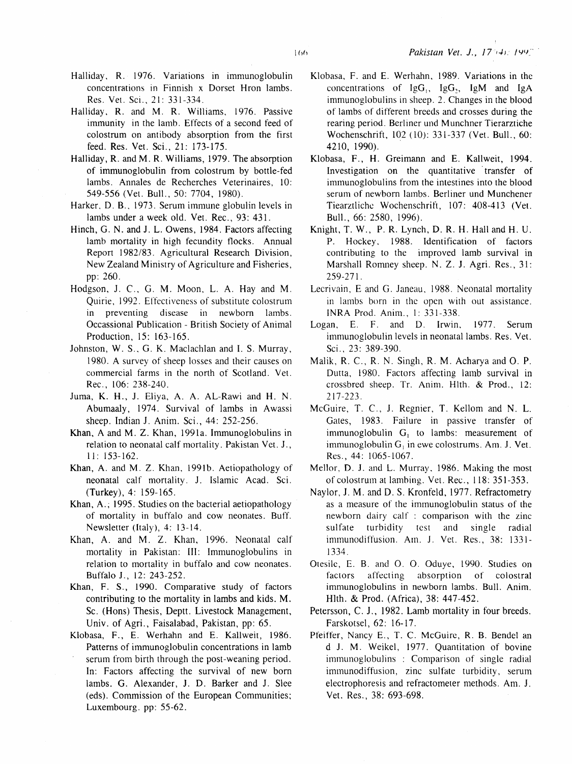- Halliday, R. 1976. Variations in immunoglobulin concentrations in Finnish x Dorset Hron lambs. Res. Vet. Sci., 21: 331-334.
- Halliday, R. and M. R. Williams, 1976. Passive immunity in the lamb. Effects of a second feed of colostrum on antibody absorption from the first feed. Res. Vet. Sci., 21: 173-175.
- Halliday, R. and M. R. Williams, 1979. The absorption of immunoglobulin from colostrum by bottle-fed lambs. Annales de Recherches Veterinaires, 10: 549-556 (Vet. Bull., 50: 7704, 1980).
- Harker, D. B., 1973. Serum immune globulin levels in lambs under a week old. Vet. Rec., 93: 431.
- Hinch, G. N. and J. L. Owens, 1984. Factors affecting lamb mortality in high fecundity flocks. Annual Report 1982/83. Agricultural Research Division, New Zealand Ministry of Agriculture and Fisheries, pp: 260.
- Hodgson, J. C., G. M. Moon, L. A. Hay and M. Quirie, 1992. Effectiveness of substitute colostrum in preventing disease in newborn lambs. Occassional Publication- British Society of Animal Production, 15: 163-165.
- Johnston, W. S., G. K. Maclachlan and I. S. Murray, 1980. A survey of sheep losses and their causes on commercial farms in the north of Scotland. Vet. Rec., 106: 238-240.
- 1uma, K. H., 1. Eliya, A. A. AL-Rawi and H. N. Abumaaly, 1974. Survival of lambs in Awassi sheep. Indian 1. Anim. Sci., 44: 252-256.
- Khan, A and M. Z. Khan, 1991a. Immunoglobulins in relation to neonatal calf mortality. Pakistan Vet. J., 11: 153-162.
- Khan, A. and M. Z. Khan, 1991b. Aetiopathology of neonatal calf mortality. J. Islamic Acad. Sci. (Turkey), 4: 159-165.
- Khan, A.; 1995. Studies on the bacterial aetiopathology of mortality in buffalo and cow neonates. Buff. Newsletter (Italy), 4: 13-14.
- Khan, A. and M. Z. Khan, 1996. Neonatal calf mortality in Pakistan: III: Immunoglobulins in relation to mortality in buffalo and cow neonates. Buffalo J., 12: 243-252.
- Khan, F. S., 1990. Comparative study of factors contributing to the mortality in lambs and kids. M. Sc. (Hons) Thesis, Deptt. Livestock Management, Univ. of Agri., Faisalabad, Pakistan, pp: 65.
- Klobasa, F., E. Werhahn and E. Kallweit, 1986. Patterns of immunoglobulin concentrations in lamb serum from birth through the post-weaning period. In: Factors affecting the survival of new born lambs. G. Alexander, J. D. Barker and J. Slee (eds). Commission of the European Communities; Luxembourg. pp: 55-62.
- Klobasa, F. and E. Werhahn, 1989. Variations in the concentrations of  $IgG_1$ ,  $IgG_2$ ,  $IgM$  and IgA immunoglobulins in sheep. 2. Changes in the blood of lambs of different breeds and crosses during the rearing period. Berliner und Munchner Tierarztiche Wochenschrift, 102 (10): 331-337 (Vet. Bull., 60: 4210, 1990).
- Klobasa, F., H. Greimann and E. Kallweit, 1994. Investigation on the quantitative transfer of immunoglobulins from the intestines into the blood serum of newborn lambs. Berliner und Munchener Tiearztliche Wochenschrift, 107: 408-413 (Vet. Bull., 66: 2580, 1996).
- Knight, T. W., P.R. Lynch, D. R. H. Hall and H. U. P. Hockey, 1988. Identification of factors contributing to the improved lamb survival in Marshall Romney sheep. N. Z. J. Agri. Res., 31: 259-271.
- Lecrivain, E and G. Janeau, 1988. Neonatal mortality in lambs born in the open with out assistance. INRA Prod. Anim., I: 331-338.
- Logan, E. F. and D. Irwin, 1977. Serum immunoglobulin levels in neonatal lambs. Res. Vet. Sci., 23: 389-390.
- Malik, R. C., R. N. Singh, R. M. Acharya and O. P. Dutta, 1980. Factors affecting lamb survival in crossbred sheep. Tr. Anim. Hlth. & Prod., 12: 217-223.
- McGuire, T. C., *1.* Regnier, T. Kellom and N. L. Gates, 1983. Failure in passive transfer of immunoglobulin  $G_i$  to lambs: measurement of immunoglobulin  $G_1$  in ewe colostrums. Am. J. Vet. Res., 44: 1065-1067.
- Mellor, D. 1. and L. Murray, 1986. Making the most of colostrum at lambing. Vet. Rec., 118: 351-353.
- Naylor, 1. M. and D. S. Kronfeld, 1977. Refractometry as a measure of the immunoglobulin status of the newborn dairy calf : comparison with the zinc sulfate turbidity test and single radial immunodiffusion. Am. 1. Vet. Res., 38: 1331- 1334.
- Otesilc, E. B. and 0. 0. Oduye, 1990. Studies on factors affecting absorption of colostral immunoglobulins in newborn lambs. Bull. Anim. Hlth. & Prod. (Africa), 38: 447-452.
- Petersson, C. J., 1982. Lamb mortality in four breeds. Farskotsel, 62: 16-17.
- Pfeiffer, Nancy E., T. C. McGuire, R. B. Bendel an d J. M. Weikel, 1977. Quantitation of bovine immunoglobulins : Comparison of single radial immunodiffusion, zinc sulfate turbidity, serum electrophoresis and refractometer methods. Am. 1. Vet. Res., 38: 693-698.